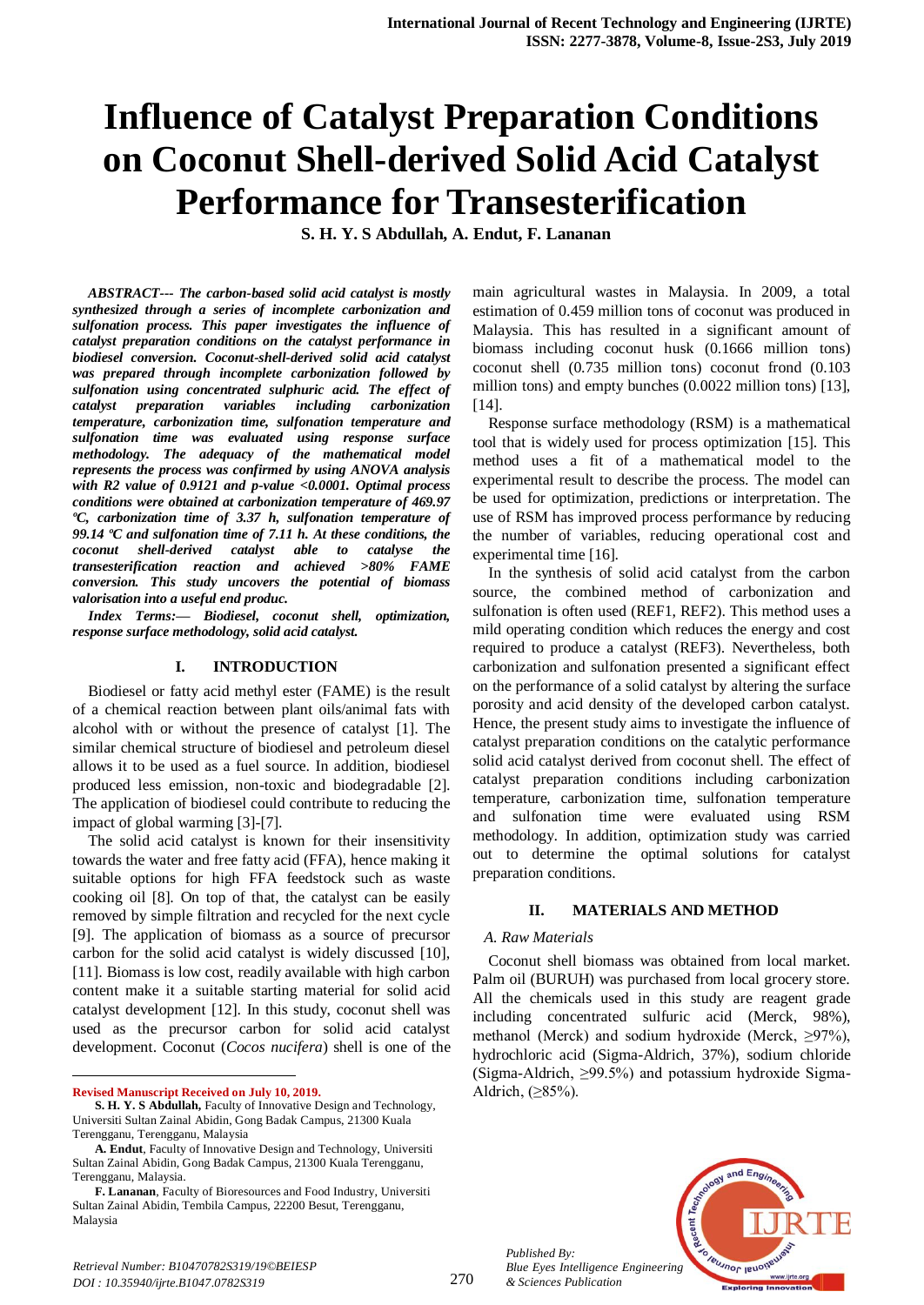# **Influence of Catalyst Preparation Conditions on Coconut Shell-derived Solid Acid Catalyst Performance for Transesterification**

**S. H. Y. S Abdullah, A. Endut, F. Lananan**

*ABSTRACT--- The carbon-based solid acid catalyst is mostly synthesized through a series of incomplete carbonization and sulfonation process. This paper investigates the influence of catalyst preparation conditions on the catalyst performance in biodiesel conversion. Coconut-shell-derived solid acid catalyst was prepared through incomplete carbonization followed by sulfonation using concentrated sulphuric acid. The effect of catalyst preparation variables including carbonization temperature, carbonization time, sulfonation temperature and sulfonation time was evaluated using response surface methodology. The adequacy of the mathematical model represents the process was confirmed by using ANOVA analysis with R2 value of 0.9121 and p-value <0.0001. Optimal process conditions were obtained at carbonization temperature of 469.97 ºC, carbonization time of 3.37 h, sulfonation temperature of 99.14 ºC and sulfonation time of 7.11 h. At these conditions, the coconut shell-derived catalyst able to catalyse the transesterification reaction and achieved >80% FAME conversion. This study uncovers the potential of biomass valorisation into a useful end produc.*

*Index Terms:— Biodiesel, coconut shell, optimization, response surface methodology, solid acid catalyst.*

#### **I. INTRODUCTION**

Biodiesel or fatty acid methyl ester (FAME) is the result of a chemical reaction between plant oils/animal fats with alcohol with or without the presence of catalyst [1]. The similar chemical structure of biodiesel and petroleum diesel allows it to be used as a fuel source. In addition, biodiesel produced less emission, non-toxic and biodegradable [2]. The application of biodiesel could contribute to reducing the impact of global warming [3]-[7].

The solid acid catalyst is known for their insensitivity towards the water and free fatty acid (FFA), hence making it suitable options for high FFA feedstock such as waste cooking oil [8]. On top of that, the catalyst can be easily removed by simple filtration and recycled for the next cycle [9]. The application of biomass as a source of precursor carbon for the solid acid catalyst is widely discussed [10], [11]. Biomass is low cost, readily available with high carbon content make it a suitable starting material for solid acid catalyst development [12]. In this study, coconut shell was used as the precursor carbon for solid acid catalyst development. Coconut (*Cocos nucifera*) shell is one of the

**Revised Manuscript Received on July 10, 2019.**

 $\overline{a}$ 

main agricultural wastes in Malaysia. In 2009, a total estimation of 0.459 million tons of coconut was produced in Malaysia. This has resulted in a significant amount of biomass including coconut husk (0.1666 million tons) coconut shell (0.735 million tons) coconut frond (0.103 million tons) and empty bunches (0.0022 million tons) [13], [14].

Response surface methodology (RSM) is a mathematical tool that is widely used for process optimization [15]. This method uses a fit of a mathematical model to the experimental result to describe the process. The model can be used for optimization, predictions or interpretation. The use of RSM has improved process performance by reducing the number of variables, reducing operational cost and experimental time [16].

In the synthesis of solid acid catalyst from the carbon source, the combined method of carbonization and sulfonation is often used (REF1, REF2). This method uses a mild operating condition which reduces the energy and cost required to produce a catalyst (REF3). Nevertheless, both carbonization and sulfonation presented a significant effect on the performance of a solid catalyst by altering the surface porosity and acid density of the developed carbon catalyst. Hence, the present study aims to investigate the influence of catalyst preparation conditions on the catalytic performance solid acid catalyst derived from coconut shell. The effect of catalyst preparation conditions including carbonization temperature, carbonization time, sulfonation temperature and sulfonation time were evaluated using RSM methodology. In addition, optimization study was carried out to determine the optimal solutions for catalyst preparation conditions.

#### **II. MATERIALS AND METHOD**

#### *A. Raw Materials*

Coconut shell biomass was obtained from local market. Palm oil (BURUH) was purchased from local grocery store. All the chemicals used in this study are reagent grade including concentrated sulfuric acid (Merck, 98%), methanol (Merck) and sodium hydroxide (Merck, ≥97%), hydrochloric acid (Sigma-Aldrich, 37%), sodium chloride (Sigma-Aldrich, ≥99.5%) and potassium hydroxide Sigma-Aldrich,  $(\geq 85\%)$ .



**S. H. Y. S Abdullah,** Faculty of Innovative Design and Technology, Universiti Sultan Zainal Abidin, Gong Badak Campus, 21300 Kuala Terengganu, Terengganu, Malaysia

**A. Endut**, Faculty of Innovative Design and Technology, Universiti Sultan Zainal Abidin, Gong Badak Campus, 21300 Kuala Terengganu, Terengganu, Malaysia.

**F. Lananan**, Faculty of Bioresources and Food Industry, Universiti Sultan Zainal Abidin, Tembila Campus, 22200 Besut, Terengganu, Malaysia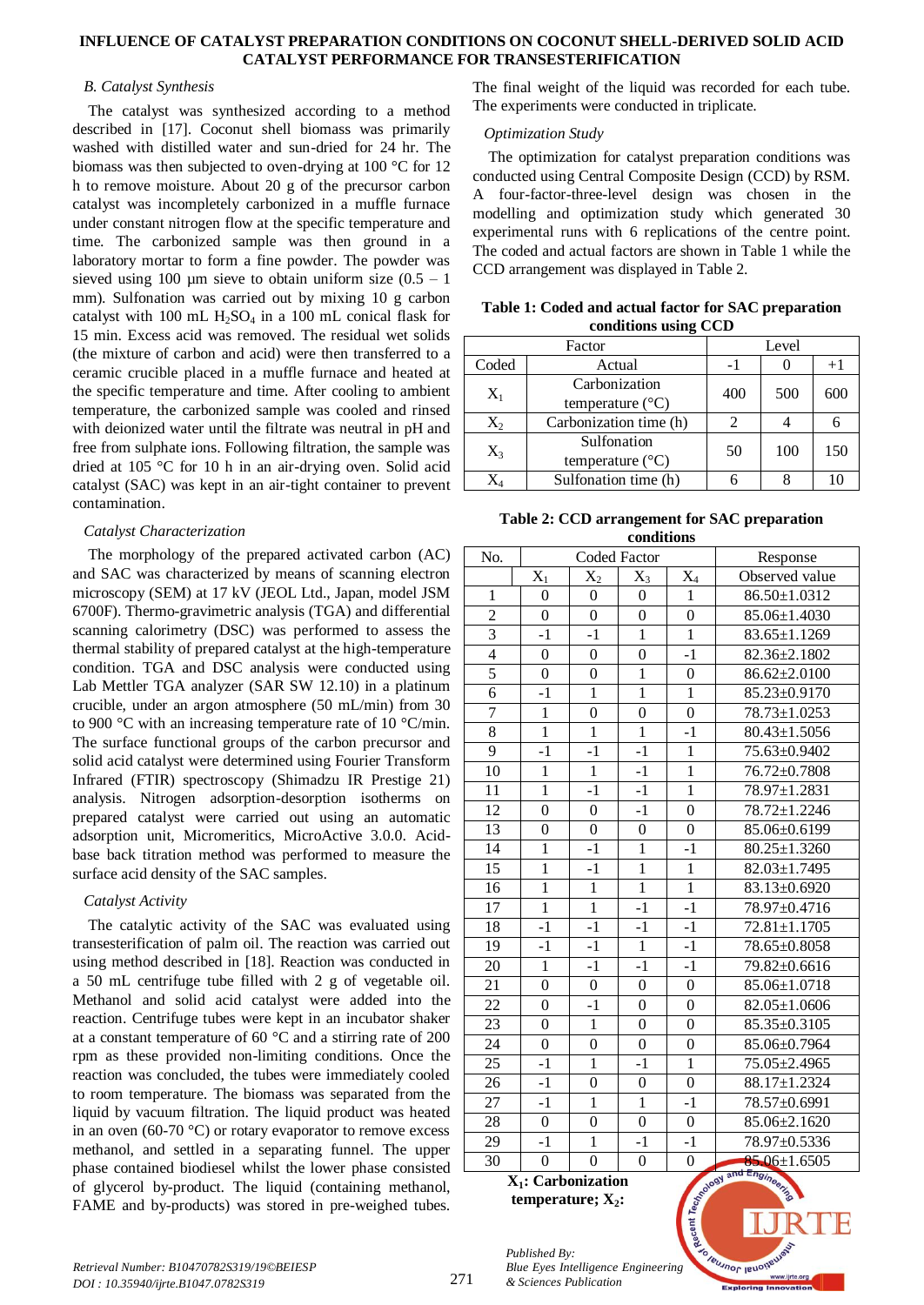#### *B. Catalyst Synthesis*

The catalyst was synthesized according to a method described in [17]. Coconut shell biomass was primarily washed with distilled water and sun-dried for 24 hr. The biomass was then subjected to oven-drying at 100 °C for 12 h to remove moisture. About 20 g of the precursor carbon catalyst was incompletely carbonized in a muffle furnace under constant nitrogen flow at the specific temperature and time. The carbonized sample was then ground in a laboratory mortar to form a fine powder. The powder was sieved using 100  $\mu$ m sieve to obtain uniform size (0.5 – 1) mm). Sulfonation was carried out by mixing 10 g carbon catalyst with 100 mL  $H_2SO_4$  in a 100 mL conical flask for 15 min. Excess acid was removed. The residual wet solids (the mixture of carbon and acid) were then transferred to a ceramic crucible placed in a muffle furnace and heated at the specific temperature and time. After cooling to ambient temperature, the carbonized sample was cooled and rinsed with deionized water until the filtrate was neutral in pH and free from sulphate ions. Following filtration, the sample was dried at 105 °C for 10 h in an air-drying oven. Solid acid catalyst (SAC) was kept in an air-tight container to prevent contamination.

#### *Catalyst Characterization*

The morphology of the prepared activated carbon (AC) and SAC was characterized by means of scanning electron microscopy (SEM) at 17 kV (JEOL Ltd., Japan, model JSM 6700F). Thermo-gravimetric analysis (TGA) and differential scanning calorimetry (DSC) was performed to assess the thermal stability of prepared catalyst at the high-temperature condition. TGA and DSC analysis were conducted using Lab Mettler TGA analyzer (SAR SW 12.10) in a platinum crucible, under an argon atmosphere (50 mL/min) from 30 to 900 °C with an increasing temperature rate of 10 °C/min. The surface functional groups of the carbon precursor and solid acid catalyst were determined using Fourier Transform Infrared (FTIR) spectroscopy (Shimadzu IR Prestige 21) analysis. Nitrogen adsorption-desorption isotherms on prepared catalyst were carried out using an automatic adsorption unit, Micromeritics, MicroActive 3.0.0. Acidbase back titration method was performed to measure the surface acid density of the SAC samples.

#### *Catalyst Activity*

The catalytic activity of the SAC was evaluated using transesterification of palm oil. The reaction was carried out using method described in [18]. Reaction was conducted in a 50 mL centrifuge tube filled with 2 g of vegetable oil. Methanol and solid acid catalyst were added into the reaction. Centrifuge tubes were kept in an incubator shaker at a constant temperature of 60 °C and a stirring rate of 200 rpm as these provided non-limiting conditions. Once the reaction was concluded, the tubes were immediately cooled to room temperature. The biomass was separated from the liquid by vacuum filtration. The liquid product was heated in an oven (60-70 °C) or rotary evaporator to remove excess methanol, and settled in a separating funnel. The upper phase contained biodiesel whilst the lower phase consisted of glycerol by-product. The liquid (containing methanol, FAME and by-products) was stored in pre-weighed tubes.

The final weight of the liquid was recorded for each tube. The experiments were conducted in triplicate.

#### *Optimization Study*

The optimization for catalyst preparation conditions was conducted using Central Composite Design (CCD) by RSM. A four-factor-three-level design was chosen in the modelling and optimization study which generated 30 experimental runs with 6 replications of the centre point. The coded and actual factors are shown in Table 1 while the CCD arrangement was displayed in Table 2.

| Table 1: Coded and actual factor for SAC preparation |                      |  |  |
|------------------------------------------------------|----------------------|--|--|
|                                                      | conditions using CCD |  |  |

|                | Level                                      |     |     |      |  |  |
|----------------|--------------------------------------------|-----|-----|------|--|--|
| Coded          | Actual                                     | -1  |     | $+1$ |  |  |
| $X_1$          | Carbonization<br>temperature $(^{\circ}C)$ | 400 | 500 | 600  |  |  |
| $\mathrm{X}_2$ | Carbonization time (h)                     |     |     |      |  |  |
| $X_3$          | Sulfonation<br>temperature $(^{\circ}C)$   | 50  | 100 | 150  |  |  |
|                | Sulfonation time (h)                       |     |     |      |  |  |
|                |                                            |     |     |      |  |  |

| Table 2: CCD arrangement for SAC preparation |
|----------------------------------------------|
| conditions                                   |

| No.                                                         | Coded Factor     |                  | Response         |                  |                    |
|-------------------------------------------------------------|------------------|------------------|------------------|------------------|--------------------|
|                                                             | $X_1$            | $X_2$            | $X_3$            | $\overline{X_4}$ | Observed value     |
| $\mathbf{1}$                                                | $\boldsymbol{0}$ | $\overline{0}$   | $\boldsymbol{0}$ | 1                | 86.50±1.0312       |
| $\overline{2}$                                              | $\boldsymbol{0}$ | $\overline{0}$   | $\boldsymbol{0}$ | $\boldsymbol{0}$ | 85.06±1.4030       |
| $\overline{3}$                                              | $-1$             | $-1$             | $\mathbf{1}$     | $\mathbf{1}$     | 83.65±1.1269       |
| $\overline{4}$                                              | $\mathbf{0}$     | $\boldsymbol{0}$ | $\overline{0}$   | $-1$             | 82.36±2.1802       |
| $\overline{5}$                                              | $\boldsymbol{0}$ | $\boldsymbol{0}$ | $\mathbf{1}$     | $\boldsymbol{0}$ | 86.62±2.0100       |
| 6                                                           | $-1$             | $\mathbf{1}$     | $\mathbf{1}$     | $\mathbf{1}$     | 85.23±0.9170       |
| 7                                                           | $\mathbf{1}$     | $\boldsymbol{0}$ | $\overline{0}$   | $\overline{0}$   | 78.73±1.0253       |
| $\overline{8}$                                              | $\overline{1}$   | $\mathbf{1}$     | $\mathbf{1}$     | $-1$             | $80.43 \pm 1.5056$ |
| $\overline{9}$                                              | $-1$             | $-1$             | $-1$             | $\mathbf{1}$     | 75.63±0.9402       |
| 10                                                          | $\mathbf{1}$     | $\mathbf{1}$     | $-1$             | $\mathbf{1}$     | 76.72±0.7808       |
| 11                                                          | $\overline{1}$   | $-1$             | $-1$             | $\overline{1}$   | 78.97±1.2831       |
| 12                                                          | $\boldsymbol{0}$ | $\boldsymbol{0}$ | $-1$             | $\boldsymbol{0}$ | 78.72±1.2246       |
| 13                                                          | $\boldsymbol{0}$ | $\boldsymbol{0}$ | $\boldsymbol{0}$ | $\overline{0}$   | 85.06±0.6199       |
| 14                                                          | $\mathbf{1}$     | $-1$             | $\mathbf{1}$     | $-1$             | $80.25 \pm 1.3260$ |
| 15                                                          | $\mathbf{1}$     | $-1$             | $\mathbf{1}$     | $\,1\,$          | 82.03±1.7495       |
| 16                                                          | $\mathbf{1}$     | $\mathbf{1}$     | $\overline{1}$   | $\overline{1}$   | 83.13±0.6920       |
| 17                                                          | $\overline{1}$   | $\overline{1}$   | $-1$             | $-1$             | 78.97±0.4716       |
| 18                                                          | $-1$             | $-1$             | $-1$             | $^{\rm -1}$      | 72.81±1.1705       |
| 19                                                          | $-1$             | $-1$             | $\overline{1}$   | $-1$             | 78.65±0.8058       |
| 20                                                          | $\mathbf{1}$     | $-1$             | $-1$             | $-1$             | 79.82±0.6616       |
| 21                                                          | $\boldsymbol{0}$ | $\boldsymbol{0}$ | $\boldsymbol{0}$ | $\boldsymbol{0}$ | 85.06±1.0718       |
| 22                                                          | $\overline{0}$   | $-1$             | $\overline{0}$   | $\overline{0}$   | $82.05 \pm 1.0606$ |
| 23                                                          | $\overline{0}$   | $\mathbf{1}$     | $\overline{0}$   | $\overline{0}$   | 85.35±0.3105       |
| 24                                                          | $\overline{0}$   | $\overline{0}$   | $\overline{0}$   | $\overline{0}$   | 85.06±0.7964       |
| 25                                                          | $-1$             | $\mathbf{1}$     | $-1$             | $\mathbf{1}$     | 75.05±2.4965       |
| 26                                                          | $-1$             | $\overline{0}$   | $\boldsymbol{0}$ | $\boldsymbol{0}$ | 88.17±1.2324       |
| 27                                                          | $-1$             | $\mathbf{1}$     | $\mathbf{1}$     | $-1$             | 78.57±0.6991       |
| 28                                                          | $\boldsymbol{0}$ | $\boldsymbol{0}$ | $\boldsymbol{0}$ | $\boldsymbol{0}$ | 85.06±2.1620       |
| 29                                                          | $-1$             | $\mathbf{1}$     | $-1$             | $-1$             | 78.97±0.5336       |
| 30                                                          | $\boldsymbol{0}$ | $\overline{0}$   | $\overline{0}$   | $\boldsymbol{0}$ | $85.06 \pm 1.6505$ |
| av and Engin<br>$\cdot$<br>$-42$<br>$\mathbf{x}$<br>$C = L$ |                  |                  |                  |                  |                    |

**X1: Carbonization temperature; X2:** 

*& Sciences Publication* 

*Blue Eyes Intelligence Engineering* 

*Published By:*

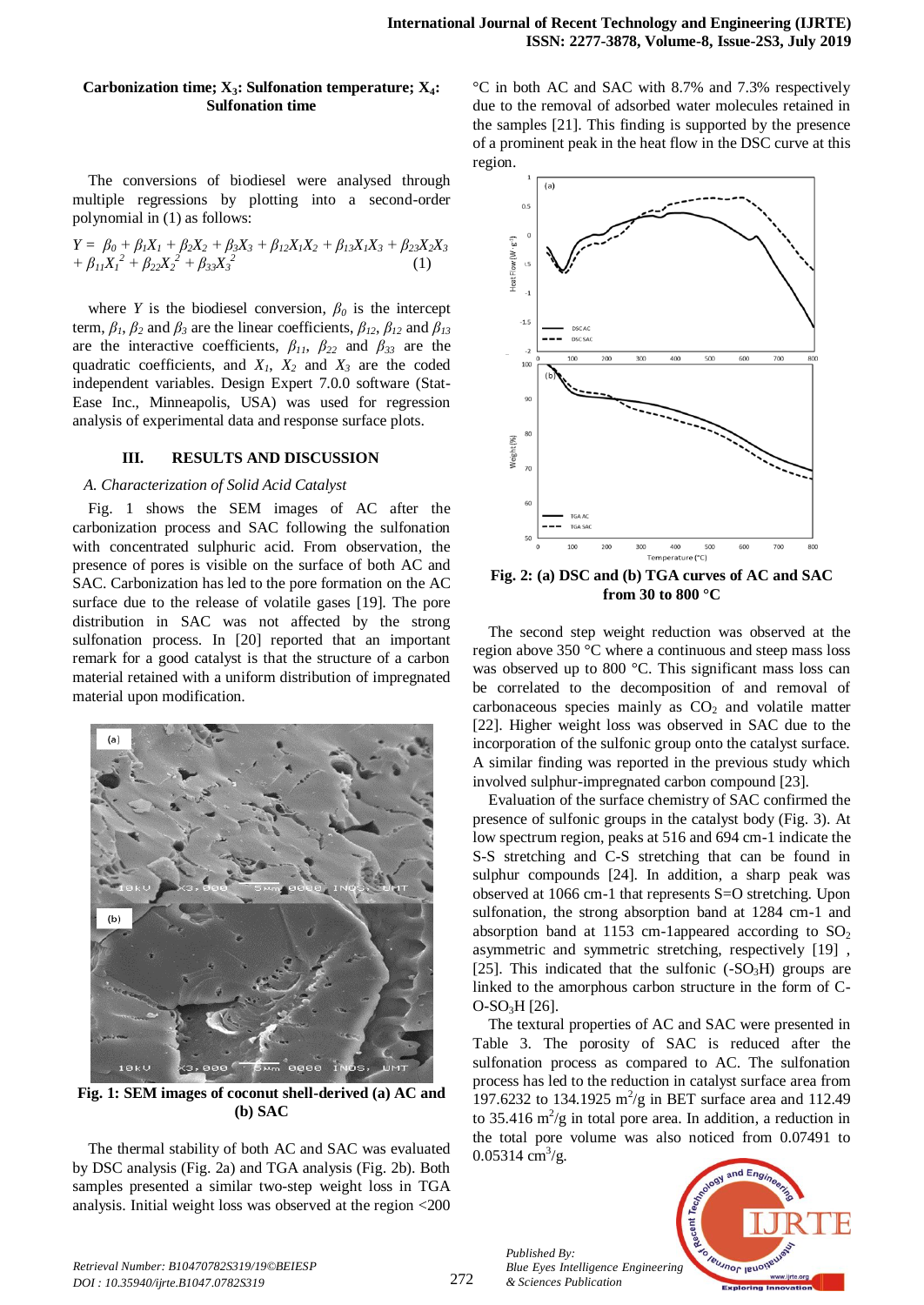## **Carbonization time; X3: Sulfonation temperature; X4: Sulfonation time**

The conversions of biodiesel were analysed through multiple regressions by plotting into a second-order polynomial in (1) as follows:

$$
Y = \beta_0 + \beta_1 X_1 + \beta_2 X_2 + \beta_3 X_3 + \beta_{12} X_1 X_2 + \beta_{13} X_1 X_3 + \beta_{23} X_2 X_3 + \beta_{11} X_1^2 + \beta_{22} X_2^2 + \beta_{33} X_3^2
$$
(1)

where *Y* is the biodiesel conversion,  $\beta_0$  is the intercept term,  $\beta_1$ ,  $\beta_2$  and  $\beta_3$  are the linear coefficients,  $\beta_{12}$ ,  $\beta_{12}$  and  $\beta_{13}$ are the interactive coefficients,  $\beta_{11}$ ,  $\beta_{22}$  and  $\beta_{33}$  are the quadratic coefficients, and  $X_1$ ,  $X_2$  and  $X_3$  are the coded independent variables. Design Expert 7.0.0 software (Stat-Ease Inc., Minneapolis, USA) was used for regression analysis of experimental data and response surface plots.

#### **III. RESULTS AND DISCUSSION**

#### *A. Characterization of Solid Acid Catalyst*

Fig. 1 shows the SEM images of AC after the carbonization process and SAC following the sulfonation with concentrated sulphuric acid. From observation, the presence of pores is visible on the surface of both AC and SAC. Carbonization has led to the pore formation on the AC surface due to the release of volatile gases [19]. The pore distribution in SAC was not affected by the strong sulfonation process. In [20] reported that an important remark for a good catalyst is that the structure of a carbon material retained with a uniform distribution of impregnated material upon modification.



**Fig. 1: SEM images of coconut shell-derived (a) AC and (b) SAC**

The thermal stability of both AC and SAC was evaluated by DSC analysis (Fig. 2a) and TGA analysis (Fig. 2b). Both samples presented a similar two-step weight loss in TGA analysis. Initial weight loss was observed at the region <200

°C in both AC and SAC with 8.7% and 7.3% respectively due to the removal of adsorbed water molecules retained in the samples [21]. This finding is supported by the presence of a prominent peak in the heat flow in the DSC curve at this region.



**Fig. 2: (a) DSC and (b) TGA curves of AC and SAC from 30 to 800 °C**

The second step weight reduction was observed at the region above 350 °C where a continuous and steep mass loss was observed up to 800 °C. This significant mass loss can be correlated to the decomposition of and removal of carbonaceous species mainly as  $CO<sub>2</sub>$  and volatile matter [22]. Higher weight loss was observed in SAC due to the incorporation of the sulfonic group onto the catalyst surface. A similar finding was reported in the previous study which involved sulphur-impregnated carbon compound [23].

Evaluation of the surface chemistry of SAC confirmed the presence of sulfonic groups in the catalyst body (Fig. 3). At low spectrum region, peaks at 516 and 694 cm-1 indicate the S-S stretching and C-S stretching that can be found in sulphur compounds [24]. In addition, a sharp peak was observed at 1066 cm-1 that represents S=O stretching. Upon sulfonation, the strong absorption band at 1284 cm-1 and absorption band at 1153 cm-1appeared according to  $SO<sub>2</sub>$ asymmetric and symmetric stretching, respectively [19] , [25]. This indicated that the sulfonic  $(-SO<sub>3</sub>H)$  groups are linked to the amorphous carbon structure in the form of C- $O-SO<sub>3</sub>H$  [26].

The textural properties of AC and SAC were presented in Table 3. The porosity of SAC is reduced after the sulfonation process as compared to AC. The sulfonation process has led to the reduction in catalyst surface area from 197.6232 to 134.1925  $m^2/g$  in BET surface area and 112.49 to 35.416  $\text{m}^2/\text{g}$  in total pore area. In addition, a reduction in the total pore volume was also noticed from 0.07491 to  $0.05314 \text{ cm}^3\text{/g}.$ 



*Published By:*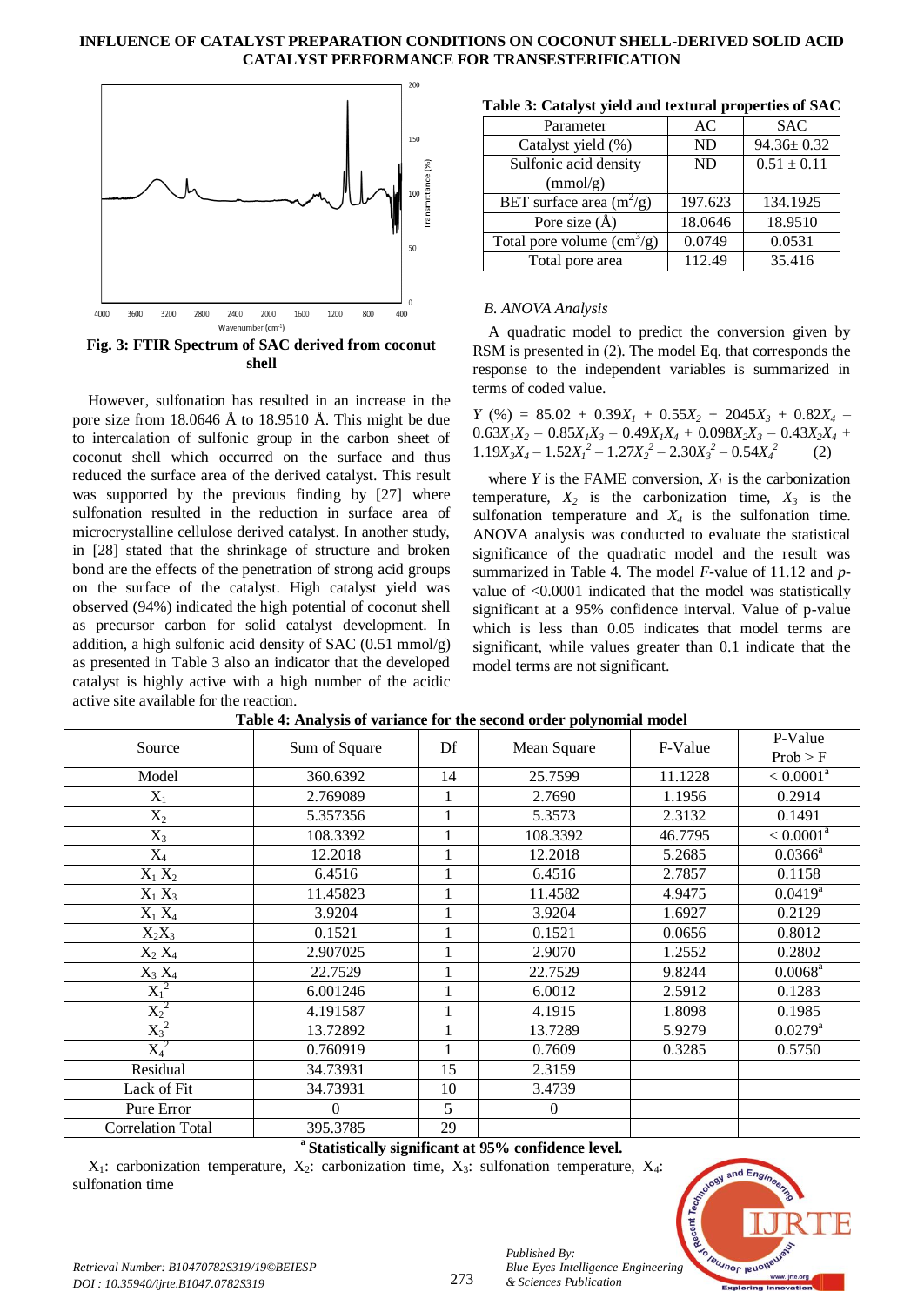

**Fig. 3: FTIR Spectrum of SAC derived from coconut shell**

However, sulfonation has resulted in an increase in the pore size from 18.0646 Å to 18.9510 Å. This might be due to intercalation of sulfonic group in the carbon sheet of coconut shell which occurred on the surface and thus reduced the surface area of the derived catalyst. This result was supported by the previous finding by [27] where sulfonation resulted in the reduction in surface area of microcrystalline cellulose derived catalyst. In another study, in [28] stated that the shrinkage of structure and broken bond are the effects of the penetration of strong acid groups on the surface of the catalyst. High catalyst yield was observed (94%) indicated the high potential of coconut shell as precursor carbon for solid catalyst development. In addition, a high sulfonic acid density of SAC (0.51 mmol/g) as presented in Table 3 also an indicator that the developed catalyst is highly active with a high number of the acidic active site available for the reaction.

| Table 5. Catalyst yillu anu textural properties of BAC |           |                  |  |  |  |
|--------------------------------------------------------|-----------|------------------|--|--|--|
| Parameter                                              | AC        | <b>SAC</b>       |  |  |  |
| Catalyst yield (%)                                     | <b>ND</b> | $94.36 \pm 0.32$ |  |  |  |
| Sulfonic acid density                                  | <b>ND</b> | $0.51 \pm 0.11$  |  |  |  |
| (mmol/g)                                               |           |                  |  |  |  |
| BET surface area $(m^2/g)$                             | 197.623   | 134.1925         |  |  |  |
| Pore size $(\AA)$                                      | 18.0646   | 18.9510          |  |  |  |
| Total pore volume $\text{cm}^3\text{/g}$ )             | 0.0749    | 0.0531           |  |  |  |
| Total pore area                                        | 112.49    | 35.416           |  |  |  |

**Table 3: Catalyst yield and textural properties of SAC**

#### *B. ANOVA Analysis*

A quadratic model to predict the conversion given by RSM is presented in (2). The model Eq. that corresponds the response to the independent variables is summarized in terms of coded value.

*Y* (%) = 85.02 + 0.39*X<sup>1</sup>* + 0.55*X<sup>2</sup>* + 2045*X<sup>3</sup>* + 0.82*X<sup>4</sup>* –  $0.63X_1X_2 - 0.85X_1X_3 - 0.49X_1X_4 + 0.098X_2X_3 - 0.43X_2X_4 +$  $1.19X_3X_4 - 1.52X_1^2 - 1.27X_2^2 - 2.30X_3^2 - 0.54X_4^2$ (2)

where *Y* is the FAME conversion,  $X<sub>l</sub>$  is the carbonization temperature,  $X_2$  is the carbonization time,  $X_3$  is the sulfonation temperature and  $X_4$  is the sulfonation time. ANOVA analysis was conducted to evaluate the statistical significance of the quadratic model and the result was summarized in Table 4. The model *F*-value of 11.12 and *p*value of <0.0001 indicated that the model was statistically significant at a 95% confidence interval. Value of p-value which is less than 0.05 indicates that model terms are significant, while values greater than 0.1 indicate that the model terms are not significant.

|                          | Sum of Square | Df |                | F-Value | P-Value               |
|--------------------------|---------------|----|----------------|---------|-----------------------|
| Source                   |               |    | Mean Square    |         | Prob > F              |
| Model                    | 360.6392      | 14 | 25.7599        | 11.1228 | $< 0.0001^{\text{a}}$ |
| $X_1$                    | 2.769089      |    | 2.7690         | 1.1956  | 0.2914                |
| $X_2$                    | 5.357356      | 1  | 5.3573         | 2.3132  | 0.1491                |
| $X_3$                    | 108.3392      |    | 108.3392       | 46.7795 | $< 0.0001^a$          |
| $\rm X_4$                | 12.2018       |    | 12.2018        | 5.2685  | $0.0366^{\rm a}$      |
| $X_1 X_2$                | 6.4516        |    | 6.4516         | 2.7857  | 0.1158                |
| $X_1 X_3$                | 11.45823      | 1  | 11.4582        | 4.9475  | $0.0419^a$            |
| $X_1 X_4$                | 3.9204        |    | 3.9204         | 1.6927  | 0.2129                |
| $X_2X_3$                 | 0.1521        |    | 0.1521         | 0.0656  | 0.8012                |
| $X_2 X_4$                | 2.907025      |    | 2.9070         | 1.2552  | 0.2802                |
| $X_3 X_4$                | 22.7529       |    | 22.7529        | 9.8244  | $0.0068^a$            |
| $X_1^2$                  | 6.001246      | 1  | 6.0012         | 2.5912  | 0.1283                |
| $\mathbf{X_2}^2$         | 4.191587      | 1  | 4.1915         | 1.8098  | 0.1985                |
| $X_3^2$                  | 13.72892      |    | 13.7289        | 5.9279  | $0.0279$ <sup>a</sup> |
| $X_4^2$                  | 0.760919      | 1  | 0.7609         | 0.3285  | 0.5750                |
| Residual                 | 34.73931      | 15 | 2.3159         |         |                       |
| Lack of Fit              | 34.73931      | 10 | 3.4739         |         |                       |
| Pure Error               | $\theta$      | 5  | $\overline{0}$ |         |                       |
| <b>Correlation Total</b> | 395.3785      | 29 |                |         |                       |

**Table 4: Analysis of variance for the second order polynomial model**

## **<sup>a</sup>Statistically significant at 95% confidence level.**

 $X_1$ : carbonization temperature,  $X_2$ : carbonization time,  $X_3$ : sulfonation temperature,  $X_4$ : sulfonation time



*Published By:*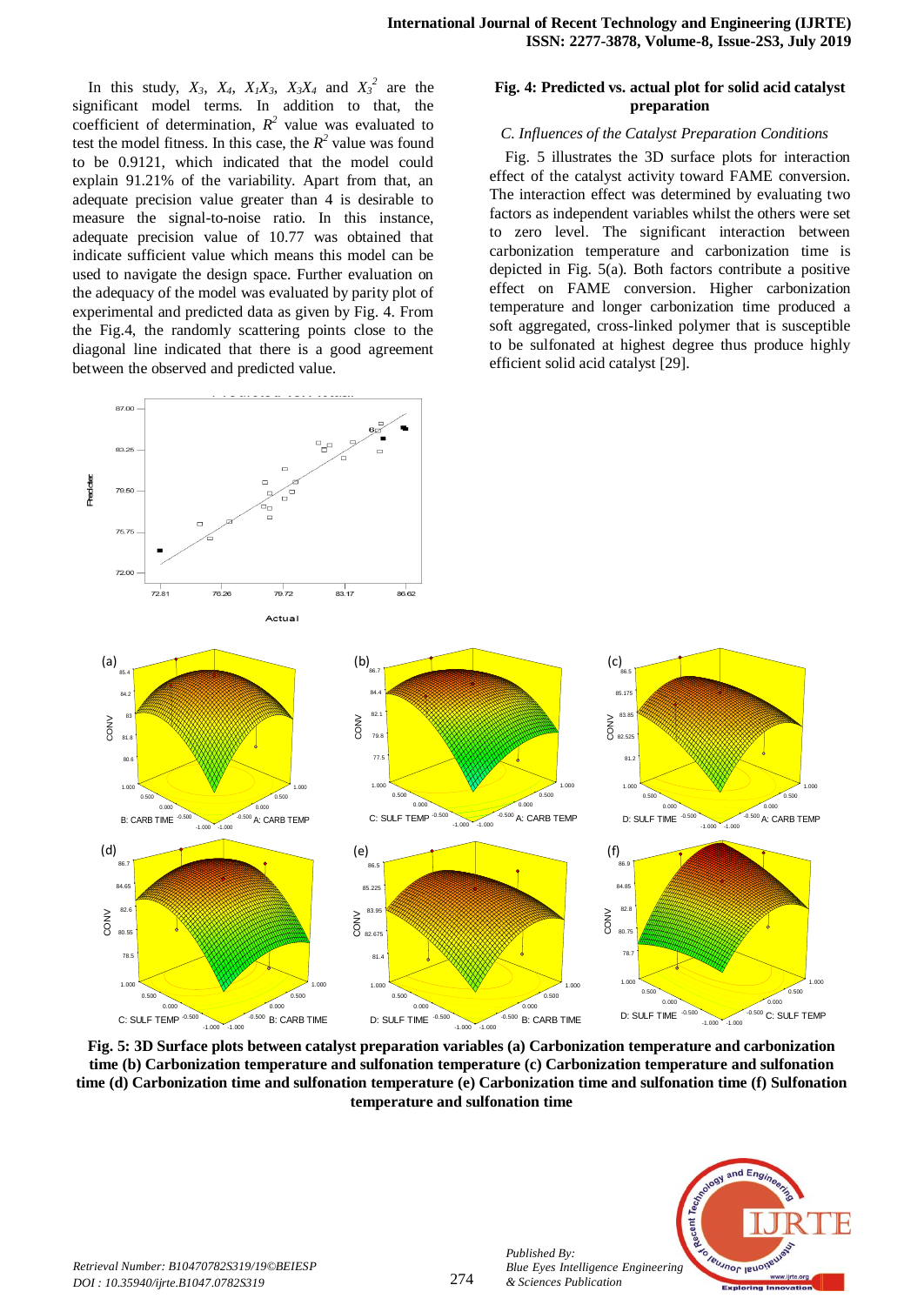In this study,  $X_3$ ,  $X_4$ ,  $X_1X_3$ ,  $X_3X_4$  and  $X_3^2$  are the significant model terms. In addition to that, the coefficient of determination,  $R^2$  value was evaluated to test the model fitness. In this case, the  $R^2$  value was found to be 0.9121, which indicated that the model could explain 91.21% of the variability. Apart from that, an adequate precision value greater than 4 is desirable to measure the signal-to-noise ratio. In this instance, adequate precision value of 10.77 was obtained that indicate sufficient value which means this model can be used to navigate the design space. Further evaluation on the adequacy of the model was evaluated by parity plot of experimental and predicted data as given by Fig. 4. From the Fig.4, the randomly scattering points close to the diagonal line indicated that there is a good agreement between the observed and predicted value.

# **Fig. 4: Predicted vs. actual plot for solid acid catalyst preparation**

#### *C. Influences of the Catalyst Preparation Conditions*

Fig. 5 illustrates the 3D surface plots for interaction effect of the catalyst activity toward FAME conversion. The interaction effect was determined by evaluating two factors as independent variables whilst the others were set to zero level. The significant interaction between carbonization temperature and carbonization time is depicted in Fig. 5(a). Both factors contribute a positive effect on FAME conversion. Higher carbonization temperature and longer carbonization time produced a soft aggregated, cross-linked polymer that is susceptible to be sulfonated at highest degree thus produce highly efficient solid acid catalyst [29].



**Fig. 5: 3D Surface plots between catalyst preparation variables (a) Carbonization temperature and carbonization time (b) Carbonization temperature and sulfonation temperature (c) Carbonization temperature and sulfonation time (d) Carbonization time and sulfonation temperature (e) Carbonization time and sulfonation time (f) Sulfonation temperature and sulfonation time**



*Published By:*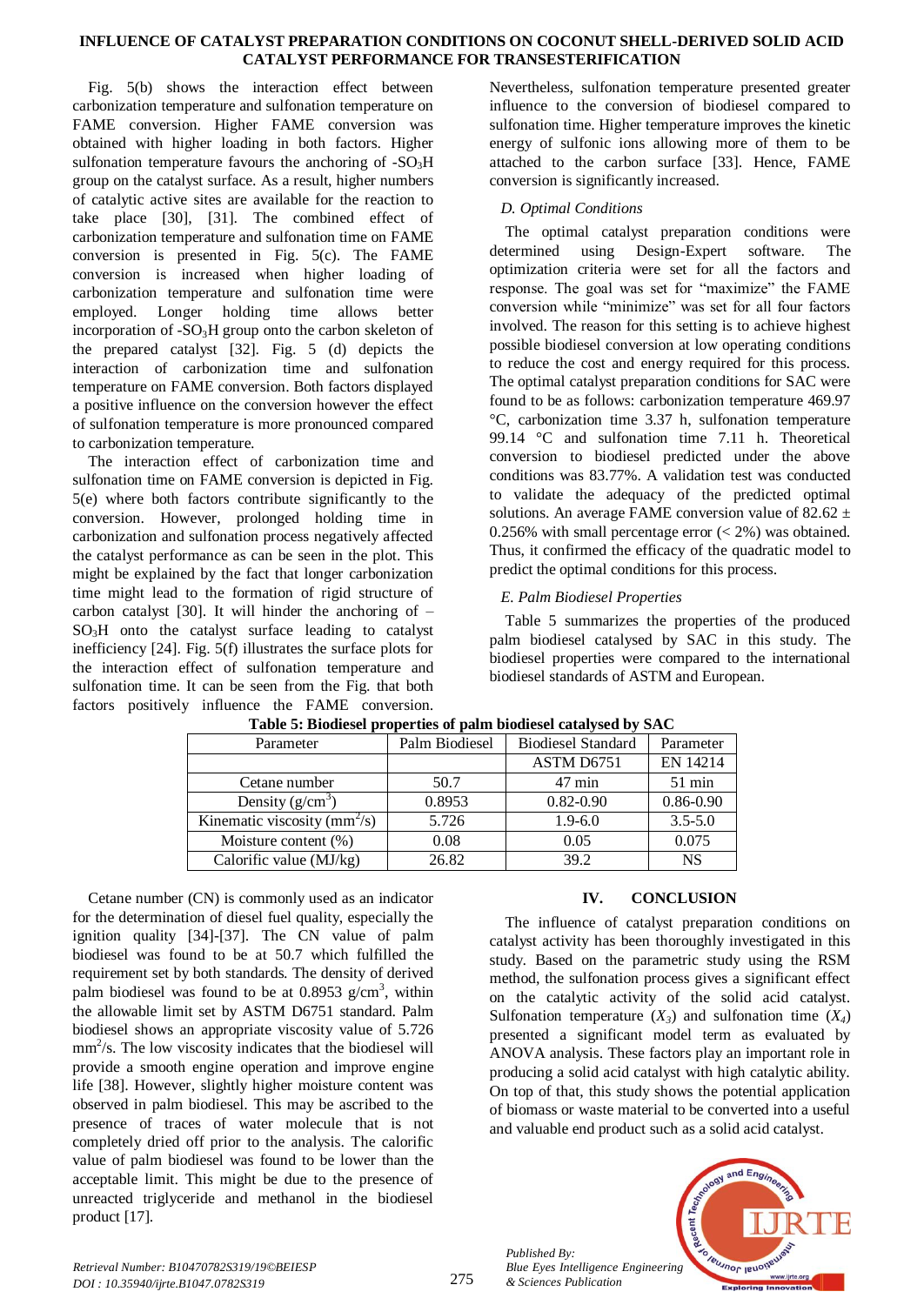Fig. 5(b) shows the interaction effect between carbonization temperature and sulfonation temperature on FAME conversion. Higher FAME conversion was obtained with higher loading in both factors. Higher sulfonation temperature favours the anchoring of  $-SO<sub>3</sub>H$ group on the catalyst surface. As a result, higher numbers of catalytic active sites are available for the reaction to take place [30], [31]. The combined effect of carbonization temperature and sulfonation time on FAME conversion is presented in Fig. 5(c). The FAME conversion is increased when higher loading of carbonization temperature and sulfonation time were employed. Longer holding time allows better incorporation of -SO3H group onto the carbon skeleton of the prepared catalyst [32]. Fig. 5 (d) depicts the interaction of carbonization time and sulfonation temperature on FAME conversion. Both factors displayed a positive influence on the conversion however the effect of sulfonation temperature is more pronounced compared to carbonization temperature.

The interaction effect of carbonization time and sulfonation time on FAME conversion is depicted in Fig. 5(e) where both factors contribute significantly to the conversion. However, prolonged holding time in carbonization and sulfonation process negatively affected the catalyst performance as can be seen in the plot. This might be explained by the fact that longer carbonization time might lead to the formation of rigid structure of carbon catalyst [30]. It will hinder the anchoring of  $SO<sub>3</sub>H$  onto the catalyst surface leading to catalyst inefficiency [24]. Fig. 5(f) illustrates the surface plots for the interaction effect of sulfonation temperature and sulfonation time. It can be seen from the Fig. that both factors positively influence the FAME conversion. Nevertheless, sulfonation temperature presented greater influence to the conversion of biodiesel compared to sulfonation time. Higher temperature improves the kinetic energy of sulfonic ions allowing more of them to be attached to the carbon surface [33]. Hence, FAME conversion is significantly increased.

# *D. Optimal Conditions*

The optimal catalyst preparation conditions were determined using Design-Expert software. The optimization criteria were set for all the factors and response. The goal was set for "maximize" the FAME conversion while "minimize" was set for all four factors involved. The reason for this setting is to achieve highest possible biodiesel conversion at low operating conditions to reduce the cost and energy required for this process. The optimal catalyst preparation conditions for SAC were found to be as follows: carbonization temperature 469.97 °C, carbonization time 3.37 h, sulfonation temperature 99.14 °C and sulfonation time 7.11 h. Theoretical conversion to biodiesel predicted under the above conditions was 83.77%. A validation test was conducted to validate the adequacy of the predicted optimal solutions. An average FAME conversion value of 82.62  $\pm$ 0.256% with small percentage error  $(< 2\%)$  was obtained. Thus, it confirmed the efficacy of the quadratic model to predict the optimal conditions for this process.

# *E. Palm Biodiesel Properties*

Table 5 summarizes the properties of the produced palm biodiesel catalysed by SAC in this study. The biodiesel properties were compared to the international biodiesel standards of ASTM and European.

| Parameter                        | Palm Biodiesel | <b>Biodiesel Standard</b> | Parameter        |
|----------------------------------|----------------|---------------------------|------------------|
|                                  |                | ASTM D6751                | EN 14214         |
| Cetane number                    | 50.7           | $47 \text{ min}$          | $51 \text{ min}$ |
| Density $(g/cm^3)$               | 0.8953         | $0.82 - 0.90$             | $0.86 - 0.90$    |
| Kinematic viscosity ( $mm^2/s$ ) | 5.726          | $1.9 - 6.0$               | $3.5 - 5.0$      |
| Moisture content (%)             | 0.08           | 0.05                      | 0.075            |
| Calorific value (MJ/kg)          | 26.82          | 39.2                      | NS               |

**Table 5: Biodiesel properties of palm biodiesel catalysed by SAC**

Cetane number (CN) is commonly used as an indicator for the determination of diesel fuel quality, especially the ignition quality [34]-[37]. The CN value of palm biodiesel was found to be at 50.7 which fulfilled the requirement set by both standards. The density of derived palm biodiesel was found to be at 0.8953  $g/cm<sup>3</sup>$ , within the allowable limit set by ASTM D6751 standard. Palm biodiesel shows an appropriate viscosity value of 5.726  $mm<sup>2</sup>/s$ . The low viscosity indicates that the biodiesel will provide a smooth engine operation and improve engine life [38]. However, slightly higher moisture content was observed in palm biodiesel. This may be ascribed to the presence of traces of water molecule that is not completely dried off prior to the analysis. The calorific value of palm biodiesel was found to be lower than the acceptable limit. This might be due to the presence of unreacted triglyceride and methanol in the biodiesel product [17].

# **IV. CONCLUSION**

The influence of catalyst preparation conditions on catalyst activity has been thoroughly investigated in this study. Based on the parametric study using the RSM method, the sulfonation process gives a significant effect on the catalytic activity of the solid acid catalyst. Sulfonation temperature  $(X_3)$  and sulfonation time  $(X_4)$ presented a significant model term as evaluated by ANOVA analysis. These factors play an important role in producing a solid acid catalyst with high catalytic ability. On top of that, this study shows the potential application of biomass or waste material to be converted into a useful and valuable end product such as a solid acid catalyst.



*Retrieval Number: B10470782S319/19©BEIESP DOI : 10.35940/ijrte.B1047.0782S319*

*Published By:*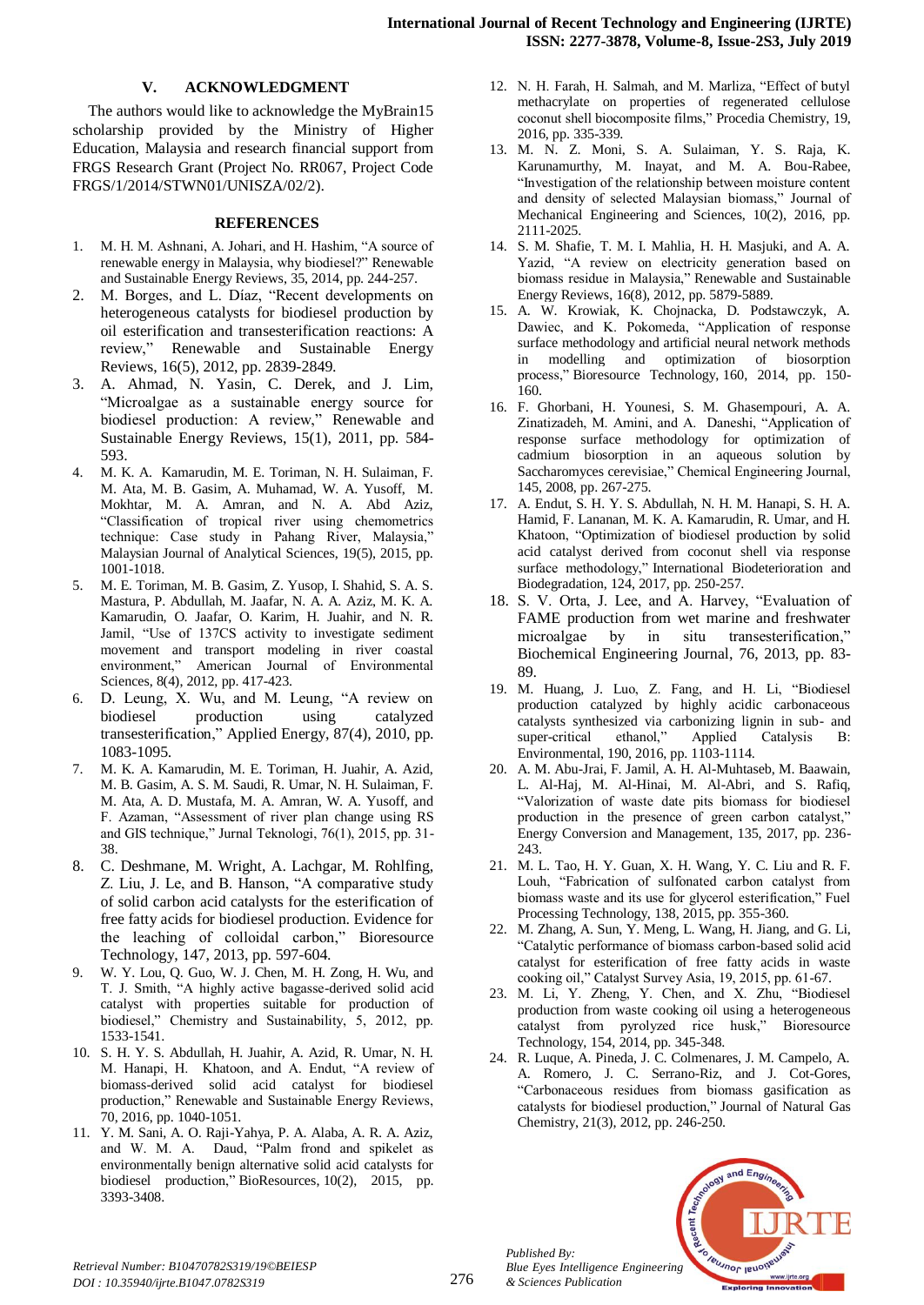### **V. ACKNOWLEDGMENT**

The authors would like to acknowledge the MyBrain15 scholarship provided by the Ministry of Higher Education, Malaysia and research financial support from FRGS Research Grant (Project No. RR067, Project Code FRGS/1/2014/STWN01/UNISZA/02/2).

#### **REFERENCES**

- 1. M. H. M. Ashnani, A. Johari, and H. Hashim, "A source of renewable energy in Malaysia, why biodiesel?" Renewable and Sustainable Energy Reviews, 35, 2014, pp. 244-257.
- 2. M. Borges, and L. Díaz, "Recent developments on heterogeneous catalysts for biodiesel production by oil esterification and transesterification reactions: A review," Renewable and Sustainable Energy Reviews, 16(5), 2012, pp. 2839-2849.
- 3. A. Ahmad, N. Yasin, C. Derek, and J. Lim, "Microalgae as a sustainable energy source for biodiesel production: A review," Renewable and Sustainable Energy Reviews, 15(1), 2011, pp. 584- 593.
- 4. M. K. A. Kamarudin, M. E. Toriman, N. H. Sulaiman, F. M. Ata, M. B. Gasim, A. Muhamad, W. A. Yusoff, M. Mokhtar, M. A. Amran, and N. A. Abd Aziz, "Classification of tropical river using chemometrics technique: Case study in Pahang River, Malaysia," Malaysian Journal of Analytical Sciences, 19(5), 2015, pp. 1001-1018.
- 5. M. E. Toriman, M. B. Gasim, Z. Yusop, I. Shahid, S. A. S. Mastura, P. Abdullah, M. Jaafar, N. A. A. Aziz, M. K. A. Kamarudin, O. Jaafar, O. Karim, H. Juahir, and N. R. Jamil, "Use of 137CS activity to investigate sediment movement and transport modeling in river coastal environment," American Journal of Environmental Sciences, 8(4), 2012, pp. 417-423.
- 6. D. Leung, X. Wu, and M. Leung, "A review on biodiesel production using catalyzed transesterification," Applied Energy, 87(4), 2010, pp. 1083-1095.
- 7. M. K. A. Kamarudin, M. E. Toriman, H. Juahir, A. Azid, M. B. Gasim, A. S. M. Saudi, R. Umar, N. H. Sulaiman, F. M. Ata, A. D. Mustafa, M. A. Amran, W. A. Yusoff, and F. Azaman, "Assessment of river plan change using RS and GIS technique," Jurnal Teknologi, 76(1), 2015, pp. 31- 38.
- 8. C. Deshmane, M. Wright, A. Lachgar, M. Rohlfing, Z. Liu, J. Le, and B. Hanson, "A comparative study of solid carbon acid catalysts for the esterification of free fatty acids for biodiesel production. Evidence for the leaching of colloidal carbon," Bioresource Technology, 147, 2013, pp. 597-604.
- 9. W. Y. Lou, Q. Guo, W. J. Chen, M. H. Zong, H. Wu, and T. J. Smith, "A highly active bagasse-derived solid acid catalyst with properties suitable for production of biodiesel," Chemistry and Sustainability, 5, 2012, pp. 1533-1541.
- 10. S. H. Y. S. Abdullah, H. Juahir, A. Azid, R. Umar, N. H. M. Hanapi, H. Khatoon, and A. Endut, "A review of biomass-derived solid acid catalyst for biodiesel production," Renewable and Sustainable Energy Reviews, 70, 2016, pp. 1040-1051.
- 11. Y. M. Sani, A. O. Raji-Yahya, P. A. Alaba, A. R. A. Aziz, and W. M. A. Daud, "Palm frond and spikelet as environmentally benign alternative solid acid catalysts for biodiesel production," BioResources, 10(2), 2015, pp. 3393-3408.
- 12. N. H. Farah, H. Salmah, and M. Marliza, "Effect of butyl methacrylate on properties of regenerated cellulose coconut shell biocomposite films," Procedia Chemistry, 19, 2016, pp. 335-339.
- 13. M. N. Z. Moni, S. A. Sulaiman, Y. S. Raja, K. Karunamurthy, M. Inayat, and M. A. Bou-Rabee, "Investigation of the relationship between moisture content and density of selected Malaysian biomass," Journal of Mechanical Engineering and Sciences, 10(2), 2016, pp. 2111-2025.
- 14. S. M. Shafie, T. M. I. Mahlia, H. H. Masjuki, and A. A. Yazid, "A review on electricity generation based on biomass residue in Malaysia," Renewable and Sustainable Energy Reviews, 16(8), 2012, pp. 5879-5889.
- 15. A. W. Krowiak, K. Chojnacka, D. Podstawczyk, A. Dawiec, and K. Pokomeda, "Application of response surface methodology and artificial neural network methods in modelling and optimization of biosorption process," Bioresource Technology, 160, 2014, pp. 150- 160.
- 16. F. Ghorbani, H. Younesi, S. M. Ghasempouri, A. A. Zinatizadeh, M. Amini, and A. Daneshi, "Application of response surface methodology for optimization of cadmium biosorption in an aqueous solution by Saccharomyces cerevisiae," Chemical Engineering Journal, 145, 2008, pp. 267-275.
- 17. A. Endut, S. H. Y. S. Abdullah, N. H. M. Hanapi, S. H. A. Hamid, F. Lananan, M. K. A. Kamarudin, R. Umar, and H. Khatoon, "Optimization of biodiesel production by solid acid catalyst derived from coconut shell via response surface methodology," International Biodeterioration and Biodegradation, 124, 2017, pp. 250-257.
- 18. S. V. Orta, J. Lee, and A. Harvey, "Evaluation of FAME production from wet marine and freshwater microalgae by in situ transesterification," Biochemical Engineering Journal, 76, 2013, pp. 83- 89.
- 19. M. Huang, J. Luo, Z. Fang, and H. Li, "Biodiesel production catalyzed by highly acidic carbonaceous catalysts synthesized via carbonizing lignin in sub- and super-critical ethanol," Applied Catalysis B: Environmental, 190, 2016, pp. 1103-1114.
- 20. A. M. Abu-Jrai, F. Jamil, A. H. Al-Muhtaseb, M. Baawain, L. Al-Haj, M. Al-Hinai, M. Al-Abri, and S. Rafiq, "Valorization of waste date pits biomass for biodiesel production in the presence of green carbon catalyst," Energy Conversion and Management, 135, 2017, pp. 236- 243.
- 21. M. L. Tao, H. Y. Guan, X. H. Wang, Y. C. Liu and R. F. Louh, "Fabrication of sulfonated carbon catalyst from biomass waste and its use for glycerol esterification," Fuel Processing Technology, 138, 2015, pp. 355-360.
- 22. M. Zhang, A. Sun, Y. Meng, L. Wang, H. Jiang, and G. Li, "Catalytic performance of biomass carbon-based solid acid catalyst for esterification of free fatty acids in waste cooking oil," Catalyst Survey Asia, 19, 2015, pp. 61-67.
- 23. M. Li, Y. Zheng, Y. Chen, and X. Zhu, "Biodiesel production from waste cooking oil using a heterogeneous catalyst from pyrolyzed rice husk," Bioresource Technology, 154, 2014, pp. 345-348.
- 24. R. Luque, A. Pineda, J. C. Colmenares, J. M. Campelo, A. A. Romero, J. C. Serrano-Riz, and J. Cot-Gores, "Carbonaceous residues from biomass gasification as catalysts for biodiesel production," Journal of Natural Gas Chemistry, 21(3), 2012, pp. 246-250.



*Published By:*